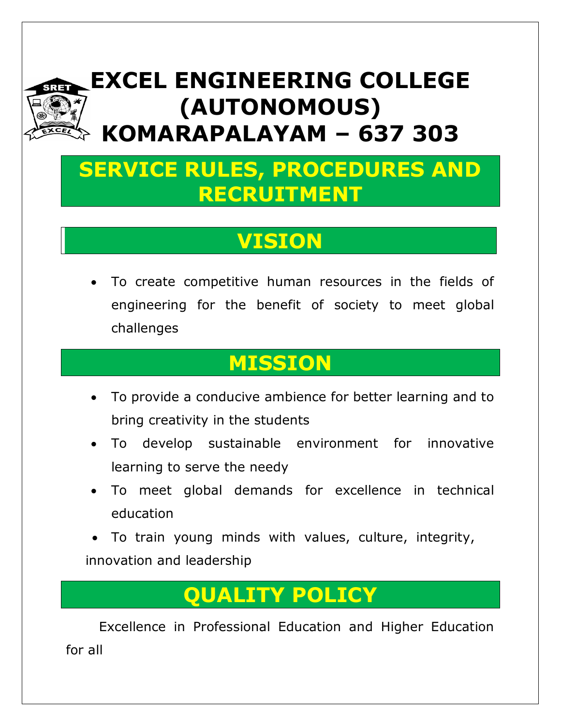# **EXCEL ENGINEERING COLLEGE (AUTONOMOUS) KOMARAPALAYAM – 637 303**

# **SERVICE RULES, PROCEDURES AND RECRUITMENT**

# **VISION**

 To create competitive human resources in the fields of engineering for the benefit of society to meet global challenges

# **MISSION**

- To provide a conducive ambience for better learning and to bring creativity in the students
- To develop sustainable environment for innovative learning to serve the needy
- To meet global demands for excellence in technical education

 To train young minds with values, culture, integrity, innovation and leadership

# **QUALITY POLICY**

Excellence in Professional Education and Higher Education for all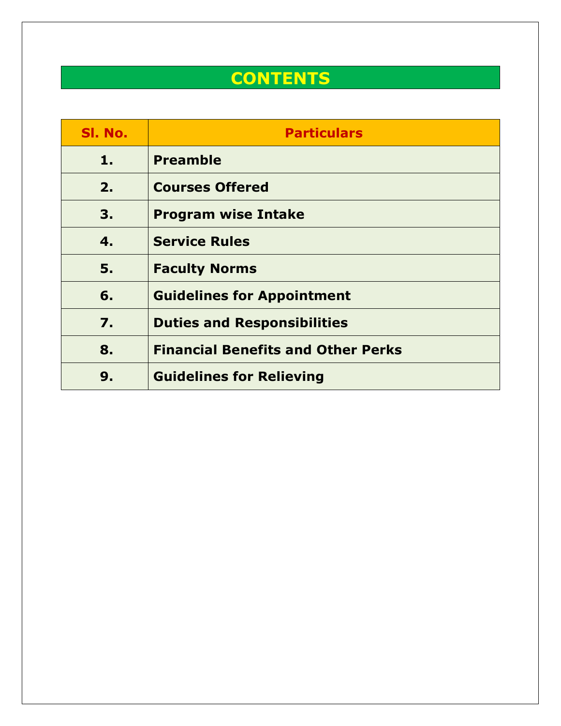# **CONTENTS**

| SI. No. | <b>Particulars</b>                        |
|---------|-------------------------------------------|
| 1.      | <b>Preamble</b>                           |
| 2.      | <b>Courses Offered</b>                    |
| 3.      | <b>Program wise Intake</b>                |
| 4.      | <b>Service Rules</b>                      |
| 5.      | <b>Faculty Norms</b>                      |
| 6.      | <b>Guidelines for Appointment</b>         |
| 7.      | <b>Duties and Responsibilities</b>        |
| 8.      | <b>Financial Benefits and Other Perks</b> |
| 9.      | <b>Guidelines for Relieving</b>           |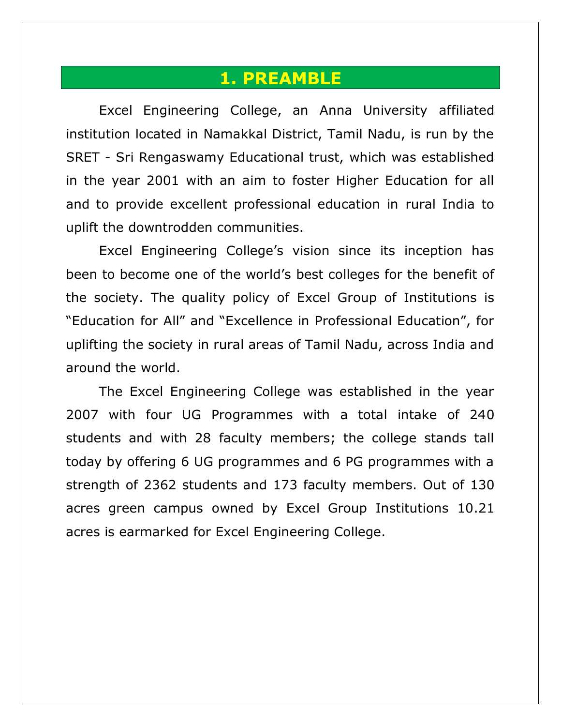#### **1. PREAMBLE**

Excel Engineering College, an Anna University affiliated institution located in Namakkal District, Tamil Nadu, is run by the SRET - Sri Rengaswamy Educational trust, which was established in the year 2001 with an aim to foster Higher Education for all and to provide excellent professional education in rural India to uplift the downtrodden communities.

Excel Engineering College's vision since its inception has been to become one of the world's best colleges for the benefit of the society. The quality policy of Excel Group of Institutions is "Education for All" and "Excellence in Professional Education", for uplifting the society in rural areas of Tamil Nadu, across India and around the world.

The Excel Engineering College was established in the year 2007 with four UG Programmes with a total intake of 240 students and with 28 faculty members; the college stands tall today by offering 6 UG programmes and 6 PG programmes with a strength of 2362 students and 173 faculty members. Out of 130 acres green campus owned by Excel Group Institutions 10.21 acres is earmarked for Excel Engineering College.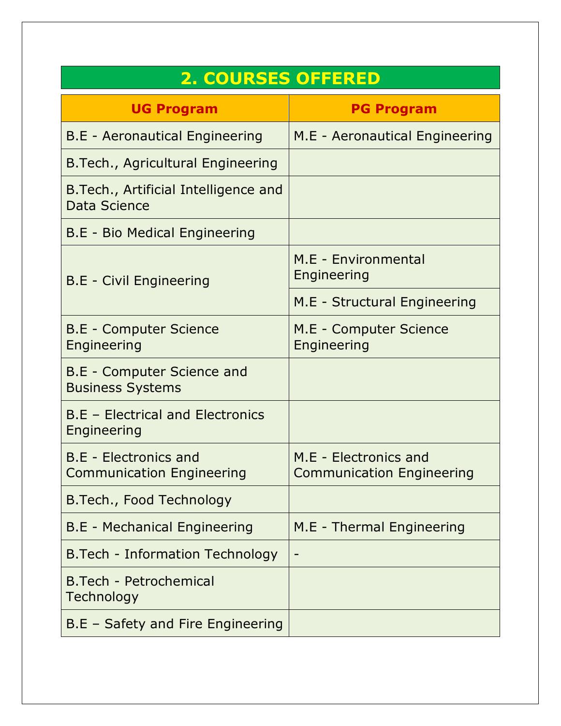| <b>2. COURSES OFFERED</b>                                    |                                                           |  |  |  |
|--------------------------------------------------------------|-----------------------------------------------------------|--|--|--|
| <b>UG Program</b>                                            | <b>PG Program</b>                                         |  |  |  |
| <b>B.E</b> - Aeronautical Engineering                        | M.E - Aeronautical Engineering                            |  |  |  |
| B. Tech., Agricultural Engineering                           |                                                           |  |  |  |
| B. Tech., Artificial Intelligence and<br><b>Data Science</b> |                                                           |  |  |  |
| B.E - Bio Medical Engineering                                |                                                           |  |  |  |
| <b>B.E</b> - Civil Engineering                               | M.E - Environmental<br>Engineering                        |  |  |  |
|                                                              | M.E - Structural Engineering                              |  |  |  |
| <b>B.E - Computer Science</b><br>Engineering                 | M.E - Computer Science<br>Engineering                     |  |  |  |
| B.E - Computer Science and<br><b>Business Systems</b>        |                                                           |  |  |  |
| <b>B.E - Electrical and Electronics</b><br>Engineering       |                                                           |  |  |  |
| B.E - Electronics and<br><b>Communication Engineering</b>    | M.E - Electronics and<br><b>Communication Engineering</b> |  |  |  |
| B. Tech., Food Technology                                    |                                                           |  |  |  |
| B.E - Mechanical Engineering                                 | M.E - Thermal Engineering                                 |  |  |  |
| B. Tech - Information Technology                             |                                                           |  |  |  |
| B.Tech - Petrochemical<br>Technology                         |                                                           |  |  |  |
| B.E - Safety and Fire Engineering                            |                                                           |  |  |  |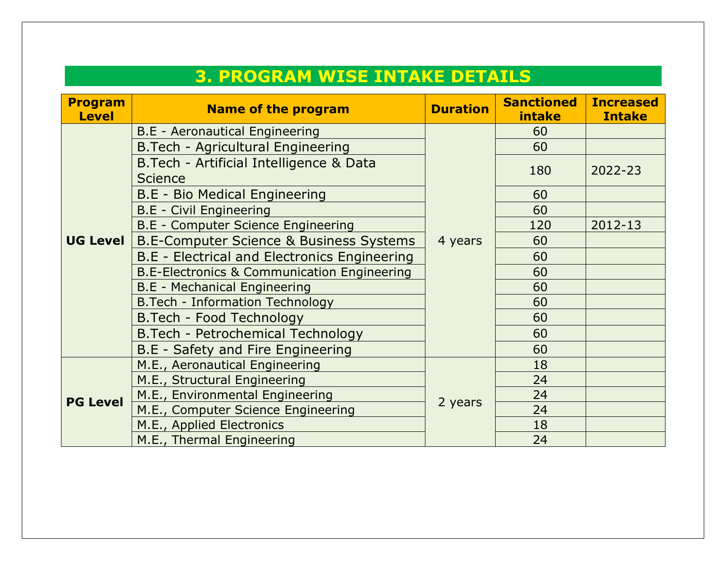| <b>3. PROGRAM WISE INTAKE DETAILS</b> |                                                                                        |                 |                             |                                   |  |
|---------------------------------------|----------------------------------------------------------------------------------------|-----------------|-----------------------------|-----------------------------------|--|
| <b>Program</b><br><b>Level</b>        | <b>Name of the program</b>                                                             | <b>Duration</b> | <b>Sanctioned</b><br>intake | <b>Increased</b><br><b>Intake</b> |  |
|                                       | <b>B.E</b> - Aeronautical Engineering                                                  |                 | 60                          |                                   |  |
|                                       | B.Tech - Agricultural Engineering                                                      |                 | 60                          |                                   |  |
|                                       | B. Tech - Artificial Intelligence & Data<br><b>Science</b>                             |                 | 180                         | 2022-23                           |  |
|                                       | B.E - Bio Medical Engineering                                                          |                 | 60                          |                                   |  |
|                                       | <b>B.E</b> - Civil Engineering                                                         |                 | 60                          |                                   |  |
|                                       | <b>B.E - Computer Science Engineering</b>                                              | 4 years         | 120                         | 2012-13                           |  |
| UG Level                              | <b>B.E-Computer Science &amp; Business Systems</b>                                     |                 | 60                          |                                   |  |
|                                       | B.E - Electrical and Electronics Engineering                                           |                 | 60                          |                                   |  |
|                                       | <b>B.E-Electronics &amp; Communication Engineering</b><br>B.E - Mechanical Engineering |                 | 60                          |                                   |  |
|                                       |                                                                                        |                 | 60                          |                                   |  |
|                                       | B. Tech - Information Technology                                                       |                 | 60                          |                                   |  |
|                                       | B.Tech - Food Technology<br>B. Tech - Petrochemical Technology                         |                 | 60                          |                                   |  |
|                                       |                                                                                        |                 | 60                          |                                   |  |
|                                       | B.E - Safety and Fire Engineering                                                      |                 | 60                          |                                   |  |
|                                       | M.E., Aeronautical Engineering                                                         |                 | 18                          |                                   |  |
|                                       | M.E., Structural Engineering                                                           |                 | 24                          |                                   |  |
| <b>PG Level</b>                       | M.E., Environmental Engineering                                                        | 2 years         | 24                          |                                   |  |
|                                       | M.E., Computer Science Engineering                                                     |                 | 24                          |                                   |  |
|                                       | M.E., Applied Electronics                                                              |                 | 18                          |                                   |  |
|                                       | M.E., Thermal Engineering                                                              |                 | 24                          |                                   |  |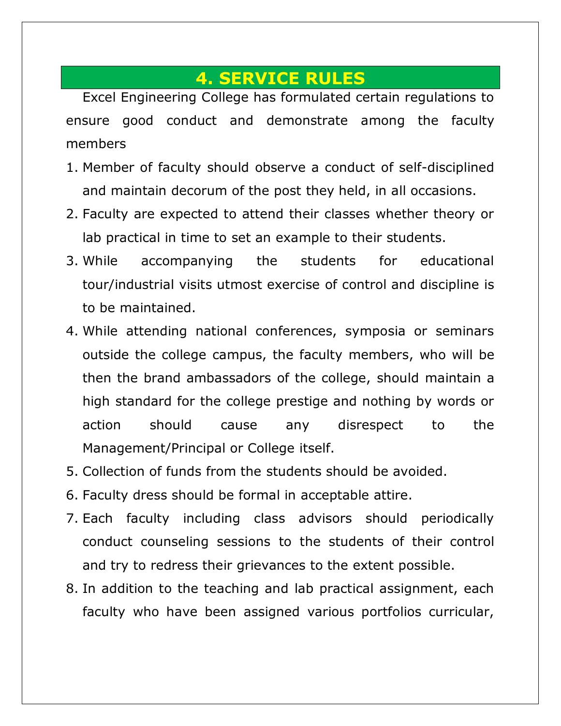### **4. SERVICE RULES**

Excel Engineering College has formulated certain regulations to ensure good conduct and demonstrate among the faculty members

- 1. Member of faculty should observe a conduct of self-disciplined and maintain decorum of the post they held, in all occasions.
- 2. Faculty are expected to attend their classes whether theory or lab practical in time to set an example to their students.
- 3. While accompanying the students for educational tour/industrial visits utmost exercise of control and discipline is to be maintained.
- 4. While attending national conferences, symposia or seminars outside the college campus, the faculty members, who will be then the brand ambassadors of the college, should maintain a high standard for the college prestige and nothing by words or action should cause any disrespect to the Management/Principal or College itself.
- 5. Collection of funds from the students should be avoided.
- 6. Faculty dress should be formal in acceptable attire.
- 7. Each faculty including class advisors should periodically conduct counseling sessions to the students of their control and try to redress their grievances to the extent possible.
- 8. In addition to the teaching and lab practical assignment, each faculty who have been assigned various portfolios curricular,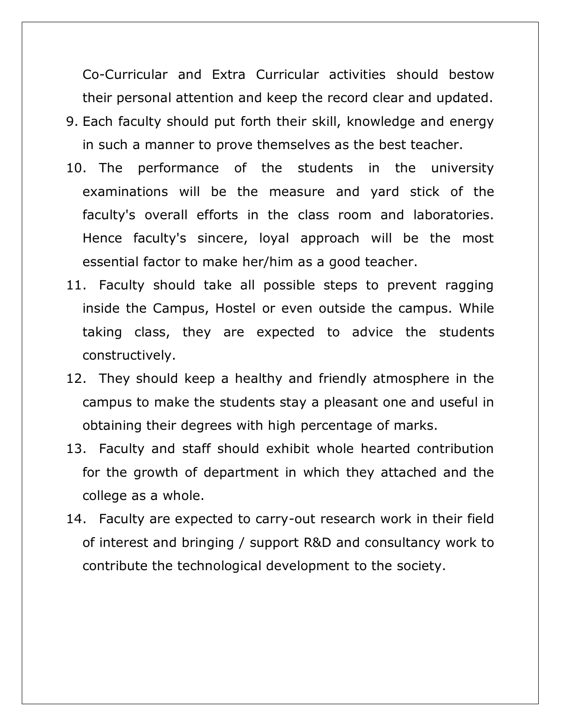Co-Curricular and Extra Curricular activities should bestow their personal attention and keep the record clear and updated.

- 9. Each faculty should put forth their skill, knowledge and energy in such a manner to prove themselves as the best teacher.
- 10. The performance of the students in the university examinations will be the measure and yard stick of the faculty's overall efforts in the class room and laboratories. Hence faculty's sincere, loyal approach will be the most essential factor to make her/him as a good teacher.
- 11. Faculty should take all possible steps to prevent ragging inside the Campus, Hostel or even outside the campus. While taking class, they are expected to advice the students constructively.
- 12. They should keep a healthy and friendly atmosphere in the campus to make the students stay a pleasant one and useful in obtaining their degrees with high percentage of marks.
- 13. Faculty and staff should exhibit whole hearted contribution for the growth of department in which they attached and the college as a whole.
- 14. Faculty are expected to carry-out research work in their field of interest and bringing / support R&D and consultancy work to contribute the technological development to the society.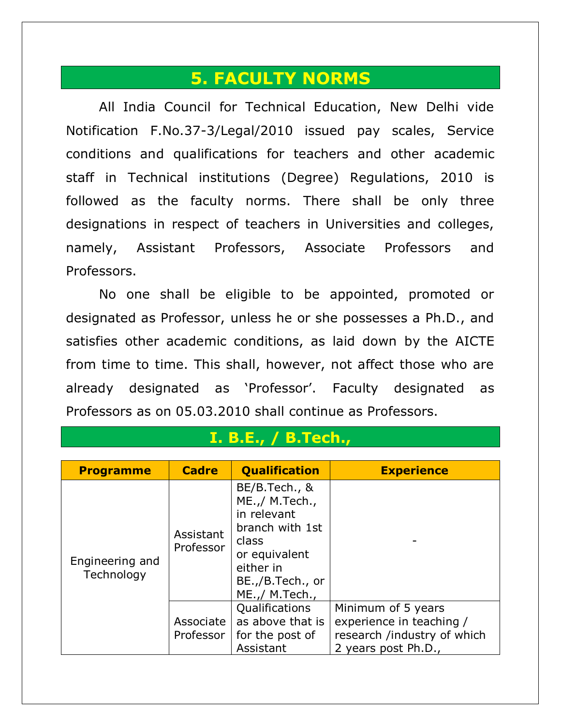#### **5. FACULTY NORMS**

All India Council for Technical Education, New Delhi vide Notification F.No.37-3/Legal/2010 issued pay scales, Service conditions and qualifications for teachers and other academic staff in Technical institutions (Degree) Regulations, 2010 is followed as the faculty norms. There shall be only three designations in respect of teachers in Universities and colleges, namely, Assistant Professors, Associate Professors and Professors.

No one shall be eligible to be appointed, promoted or designated as Professor, unless he or she possesses a Ph.D., and satisfies other academic conditions, as laid down by the AICTE from time to time. This shall, however, not affect those who are already designated as 'Professor'. Faculty designated as Professors as on 05.03.2010 shall continue as Professors.

| <b>Programme</b>              | <b>Cadre</b>             | <b>Qualification</b>                                                                                                                           | <b>Experience</b>                                                                                    |
|-------------------------------|--------------------------|------------------------------------------------------------------------------------------------------------------------------------------------|------------------------------------------------------------------------------------------------------|
| Engineering and<br>Technology | Assistant<br>Professor   | BE/B.Tech., &<br>ME.,/ M.Tech.,<br>in relevant<br>branch with 1st<br>class<br>or equivalent<br>either in<br>BE.,/B.Tech., or<br>ME.,/ M.Tech., |                                                                                                      |
|                               | Associate I<br>Professor | Qualifications<br>as above that is<br>for the post of<br>Assistant                                                                             | Minimum of 5 years<br>experience in teaching /<br>research /industry of which<br>2 years post Ph.D., |

#### **I. B.E., / B.Tech.,**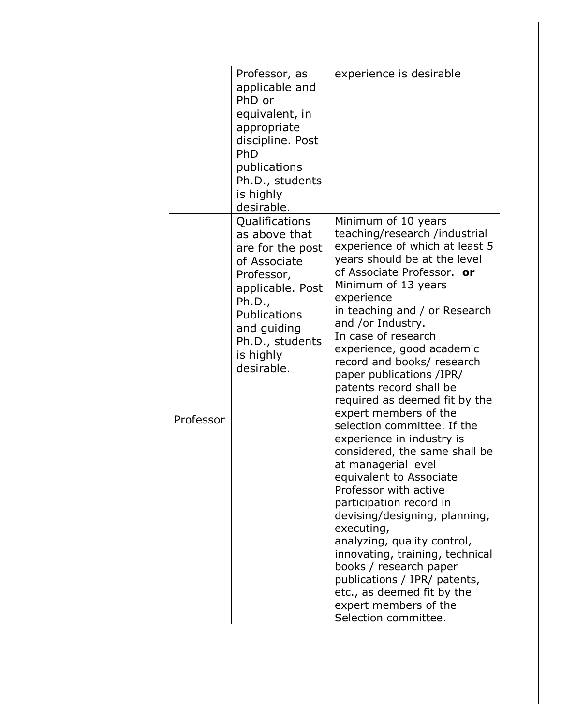|           | Professor, as<br>applicable and<br>PhD or<br>equivalent, in<br>appropriate<br>discipline. Post<br>PhD<br>publications<br>Ph.D., students<br>is highly<br>desirable.                          | experience is desirable                                                                                                                                                                                                                                                                                                                                                                                                                                                                                                                                                                                                                                                                                                                                                                                                                                                                                         |
|-----------|----------------------------------------------------------------------------------------------------------------------------------------------------------------------------------------------|-----------------------------------------------------------------------------------------------------------------------------------------------------------------------------------------------------------------------------------------------------------------------------------------------------------------------------------------------------------------------------------------------------------------------------------------------------------------------------------------------------------------------------------------------------------------------------------------------------------------------------------------------------------------------------------------------------------------------------------------------------------------------------------------------------------------------------------------------------------------------------------------------------------------|
| Professor | Qualifications<br>as above that<br>are for the post<br>of Associate<br>Professor,<br>applicable. Post<br>Ph.D.,<br>Publications<br>and guiding<br>Ph.D., students<br>is highly<br>desirable. | Minimum of 10 years<br>teaching/research /industrial<br>experience of which at least 5<br>years should be at the level<br>of Associate Professor. or<br>Minimum of 13 years<br>experience<br>in teaching and / or Research<br>and /or Industry.<br>In case of research<br>experience, good academic<br>record and books/ research<br>paper publications /IPR/<br>patents record shall be<br>required as deemed fit by the<br>expert members of the<br>selection committee. If the<br>experience in industry is<br>considered, the same shall be<br>at managerial level<br>equivalent to Associate<br>Professor with active<br>participation record in<br>devising/designing, planning,<br>executing,<br>analyzing, quality control,<br>innovating, training, technical<br>books / research paper<br>publications / IPR/ patents,<br>etc., as deemed fit by the<br>expert members of the<br>Selection committee. |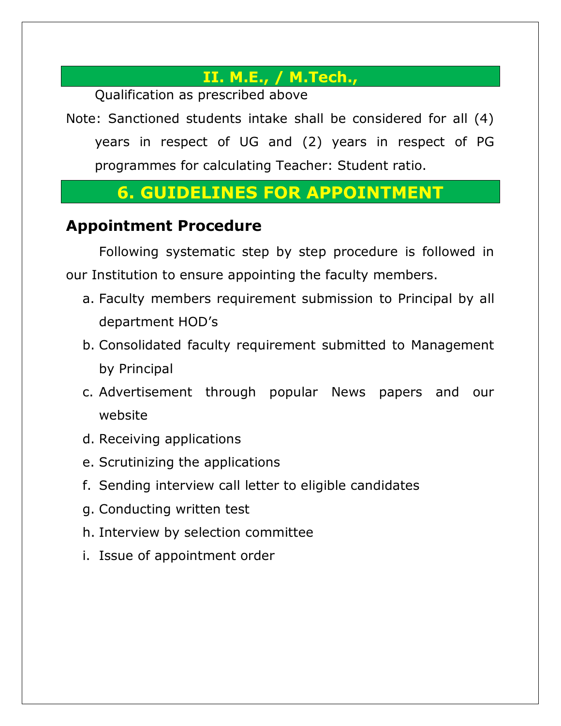#### **II. M.E., / M.Tech.,**

Qualification as prescribed above

Note: Sanctioned students intake shall be considered for all (4) years in respect of UG and (2) years in respect of PG programmes for calculating Teacher: Student ratio.

### **6. GUIDELINES FOR APPOINTMENT**

#### **Appointment Procedure**

Following systematic step by step procedure is followed in our Institution to ensure appointing the faculty members.

- a. Faculty members requirement submission to Principal by all department HOD's
- b. Consolidated faculty requirement submitted to Management by Principal
- c. Advertisement through popular News papers and our website
- d. Receiving applications
- e. Scrutinizing the applications
- f. Sending interview call letter to eligible candidates
- g. Conducting written test
- h. Interview by selection committee
- i. Issue of appointment order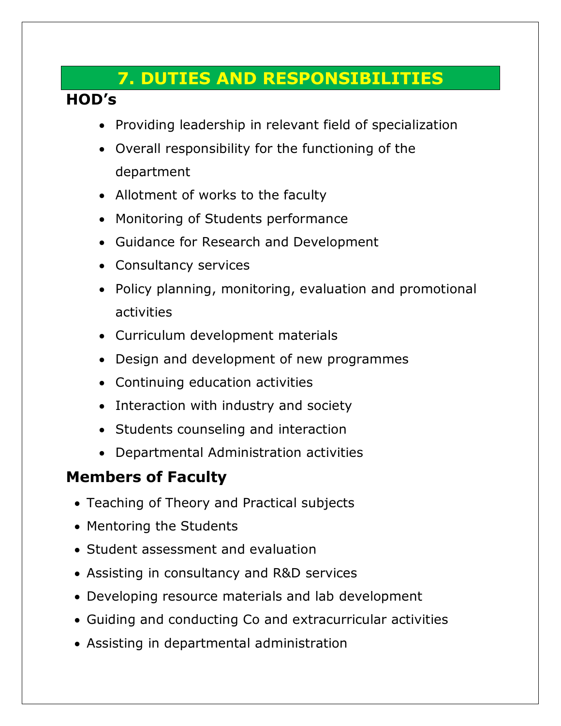## **7. DUTIES AND RESPONSIBILITIES**

#### **HOD's**

- Providing leadership in relevant field of specialization
- Overall responsibility for the functioning of the department
- Allotment of works to the faculty
- Monitoring of Students performance
- Guidance for Research and Development
- Consultancy services
- Policy planning, monitoring, evaluation and promotional activities
- Curriculum development materials
- Design and development of new programmes
- Continuing education activities
- Interaction with industry and society
- Students counseling and interaction
- Departmental Administration activities

### **Members of Faculty**

- Teaching of Theory and Practical subjects
- Mentoring the Students
- Student assessment and evaluation
- Assisting in consultancy and R&D services
- Developing resource materials and lab development
- Guiding and conducting Co and extracurricular activities
- Assisting in departmental administration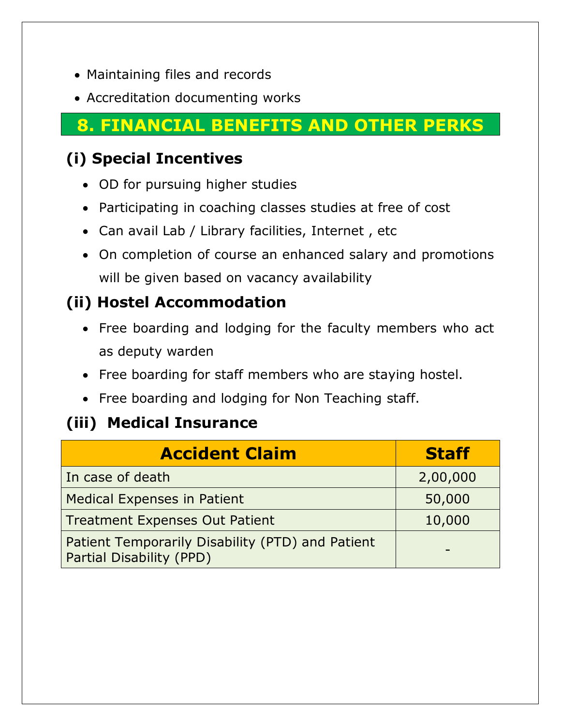- Maintaining files and records
- Accreditation documenting works

## **8. FINANCIAL BENEFITS AND OTHER PERKS**

### **(i) Special Incentives**

- OD for pursuing higher studies
- Participating in coaching classes studies at free of cost
- Can avail Lab / Library facilities, Internet , etc
- On completion of course an enhanced salary and promotions will be given based on vacancy availability

### **(ii) Hostel Accommodation**

- Free boarding and lodging for the faculty members who act as deputy warden
- Free boarding for staff members who are staying hostel.
- Free boarding and lodging for Non Teaching staff.

### **(iii) Medical Insurance**

| <b>Accident Claim</b>                                                        | <b>Staff</b> |
|------------------------------------------------------------------------------|--------------|
| In case of death                                                             | 2,00,000     |
| <b>Medical Expenses in Patient</b>                                           | 50,000       |
| <b>Treatment Expenses Out Patient</b>                                        | 10,000       |
| Patient Temporarily Disability (PTD) and Patient<br>Partial Disability (PPD) |              |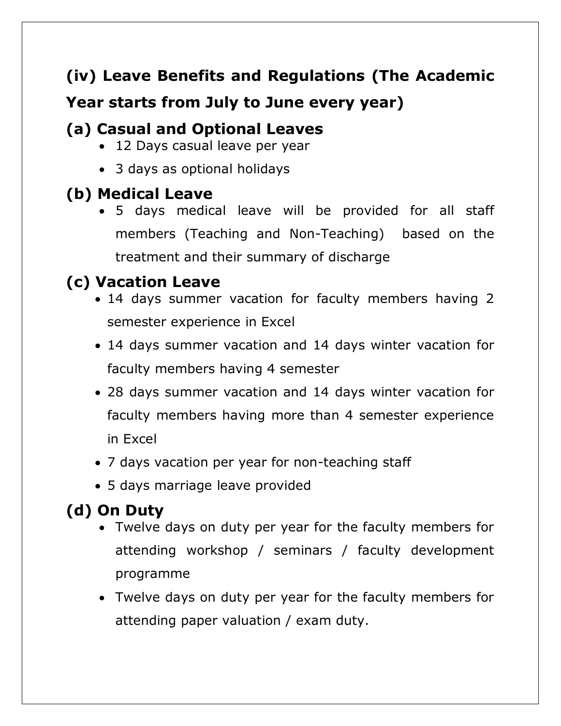# **(iv) Leave Benefits and Regulations (The Academic Year starts from July to June every year)**

### **(a) Casual and Optional Leaves**

- 12 Days casual leave per year
- 3 days as optional holidays

## **(b) Medical Leave**

 5 days medical leave will be provided for all staff members (Teaching and Non-Teaching) based on the treatment and their summary of discharge

# **(c) Vacation Leave**

- 14 days summer vacation for faculty members having 2 semester experience in Excel
- 14 days summer vacation and 14 days winter vacation for faculty members having 4 semester
- 28 days summer vacation and 14 days winter vacation for faculty members having more than 4 semester experience in Excel
- 7 days vacation per year for non-teaching staff
- 5 days marriage leave provided

# **(d) On Duty**

- Twelve days on duty per year for the faculty members for attending workshop / seminars / faculty development programme
- Twelve days on duty per year for the faculty members for attending paper valuation / exam duty.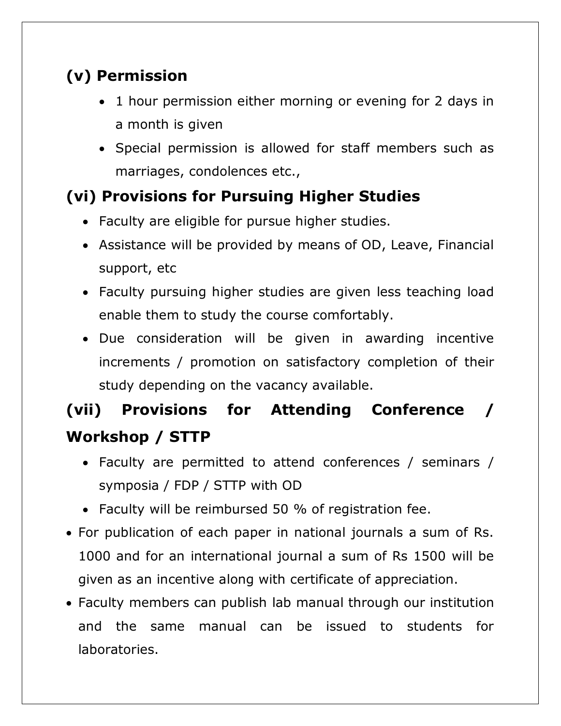# **(v) Permission**

- 1 hour permission either morning or evening for 2 days in a month is given
- Special permission is allowed for staff members such as marriages, condolences etc.,

## **(vi) Provisions for Pursuing Higher Studies**

- Faculty are eligible for pursue higher studies.
- Assistance will be provided by means of OD, Leave, Financial support, etc
- Faculty pursuing higher studies are given less teaching load enable them to study the course comfortably.
- Due consideration will be given in awarding incentive increments / promotion on satisfactory completion of their study depending on the vacancy available.

# **(vii) Provisions for Attending Conference / Workshop / STTP**

- Faculty are permitted to attend conferences / seminars / symposia / FDP / STTP with OD
- Faculty will be reimbursed 50 % of registration fee.
- For publication of each paper in national journals a sum of Rs. 1000 and for an international journal a sum of Rs 1500 will be given as an incentive along with certificate of appreciation.
- Faculty members can publish lab manual through our institution and the same manual can be issued to students for laboratories.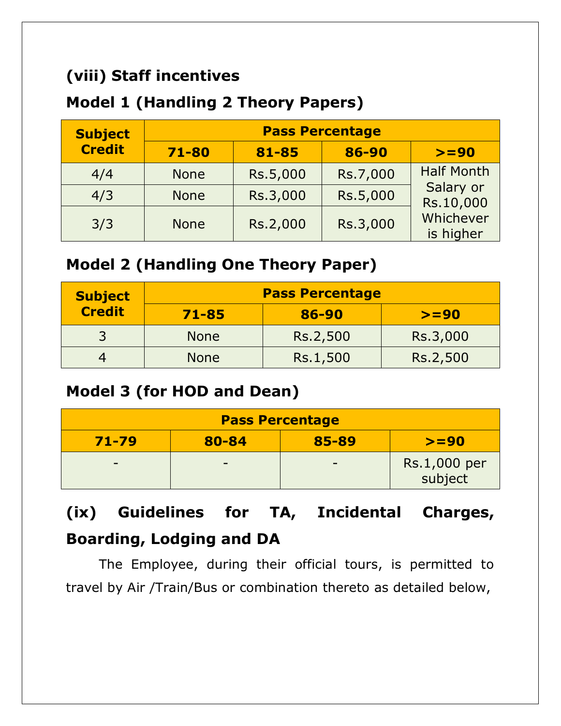### **(viii) Staff incentives**

### **Model 1 (Handling 2 Theory Papers)**

| <b>Subject</b> | <b>Pass Percentage</b> |          |          |                        |
|----------------|------------------------|----------|----------|------------------------|
| <b>Credit</b>  | 71-80                  | 81-85    | 86-90    | $>= 90$                |
| 4/4            | <b>None</b>            | Rs.5,000 | Rs.7,000 | <b>Half Month</b>      |
| 4/3            | <b>None</b>            | Rs.3,000 | Rs.5,000 | Salary or<br>Rs.10,000 |
| 3/3            | <b>None</b>            | Rs.2,000 | Rs.3,000 | Whichever<br>is higher |

### **Model 2 (Handling One Theory Paper)**

| <b>Subject</b> | <b>Pass Percentage</b> |          |          |  |
|----------------|------------------------|----------|----------|--|
| <b>Credit</b>  | $71 - 85$              | 86-90    | $>= 90$  |  |
|                | <b>None</b>            | Rs.2,500 | Rs.3,000 |  |
|                | <b>None</b>            | Rs.1,500 | Rs.2,500 |  |

### **Model 3 (for HOD and Dean)**

| <b>Pass Percentage</b>                 |  |                          |                         |  |
|----------------------------------------|--|--------------------------|-------------------------|--|
| 80-84<br>$71 - 79$<br>85-89<br>$>= 90$ |  |                          |                         |  |
| $\overline{\phantom{0}}$               |  | $\overline{\phantom{0}}$ | Rs.1,000 per<br>subject |  |

# **(ix) Guidelines for TA, Incidental Charges, Boarding, Lodging and DA**

The Employee, during their official tours, is permitted to travel by Air /Train/Bus or combination thereto as detailed below,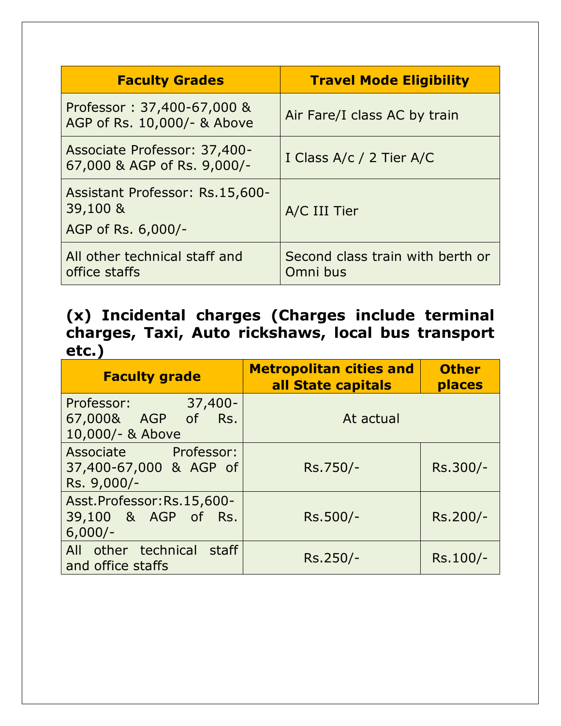| <b>Faculty Grades</b>                                             | <b>Travel Mode Eligibility</b>               |
|-------------------------------------------------------------------|----------------------------------------------|
| Professor: 37,400-67,000 &<br>AGP of Rs. 10,000/- & Above         | Air Fare/I class AC by train                 |
| Associate Professor: 37,400-<br>67,000 & AGP of Rs. 9,000/-       | I Class A/c / 2 Tier A/C                     |
| Assistant Professor: Rs.15,600-<br>39,100 &<br>AGP of Rs. 6,000/- | A/C III Tier                                 |
| All other technical staff and<br>office staffs                    | Second class train with berth or<br>Omni bus |

**(x) Incidental charges (Charges include terminal charges, Taxi, Auto rickshaws, local bus transport etc.)**

| <b>Faculty grade</b>                                               | <b>Metropolitan cities and</b><br>all State capitals | <b>Other</b><br>places |  |
|--------------------------------------------------------------------|------------------------------------------------------|------------------------|--|
| $37,400 -$<br>Professor:<br>67,000& AGP of Rs.<br>10,000/- & Above | At actual                                            |                        |  |
| Associate Professor:<br>37,400-67,000 & AGP of<br>Rs. 9,000/-      | Rs.750/-                                             | Rs.300/-               |  |
| Asst.Professor:Rs.15,600-<br>39,100 & AGP of Rs.<br>$6,000/-$      | Rs.500/-                                             | Rs.200/-               |  |
| All other technical staff<br>and office staffs                     | Rs.250/-                                             | Rs.100/-               |  |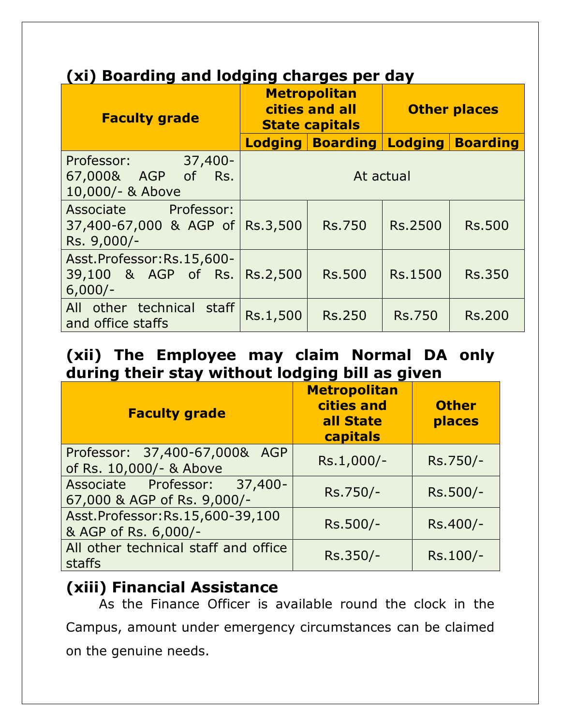### **(xi) Boarding and lodging charges per day**

| <b>Faculty grade</b>                                          | <b>Metropolitan</b><br>cities and all<br><b>State capitals</b> |                         | <b>Other places</b> |                 |
|---------------------------------------------------------------|----------------------------------------------------------------|-------------------------|---------------------|-----------------|
|                                                               |                                                                | <b>Lodging Boarding</b> | $L$ odging          | <b>Boarding</b> |
| Professor: 37,400-<br>67,000& AGP of Rs.<br>10,000/- & Above  | At actual                                                      |                         |                     |                 |
| Associate Professor:<br>37,400-67,000 & AGP of<br>Rs. 9,000/- | Rs.3,500                                                       | <b>Rs.750</b>           | <b>Rs.2500</b>      | <b>Rs.500</b>   |
| Asst.Professor:Rs.15,600-<br>39,100 & AGP of Rs.<br>$6,000/-$ | Rs.2,500                                                       | <b>Rs.500</b>           | Rs.1500             | <b>Rs.350</b>   |
| All other technical staff<br>and office staffs                | Rs.1,500                                                       | <b>Rs.250</b>           | <b>Rs.750</b>       | <b>Rs.200</b>   |

#### **(xii) The Employee may claim Normal DA only during their stay without lodging bill as given**

| <b>Faculty grade</b>                                        | <b>Metropolitan</b><br>cities and<br>all State<br>capitals | <b>Other</b><br>places |
|-------------------------------------------------------------|------------------------------------------------------------|------------------------|
| Professor: 37,400-67,000& AGP<br>of Rs. 10,000/- & Above    | Rs.1,000/-                                                 | Rs.750/-               |
| Associate Professor: 37,400-<br>67,000 & AGP of Rs. 9,000/- | Rs.750/-                                                   | Rs.500/-               |
| Asst.Professor:Rs.15,600-39,100<br>& AGP of Rs. 6,000/-     | Rs.500/-                                                   | Rs.400/-               |
| All other technical staff and office<br>staffs              | Rs.350/-                                                   | Rs.100/-               |

#### **(xiii) Financial Assistance**

As the Finance Officer is available round the clock in the Campus, amount under emergency circumstances can be claimed on the genuine needs.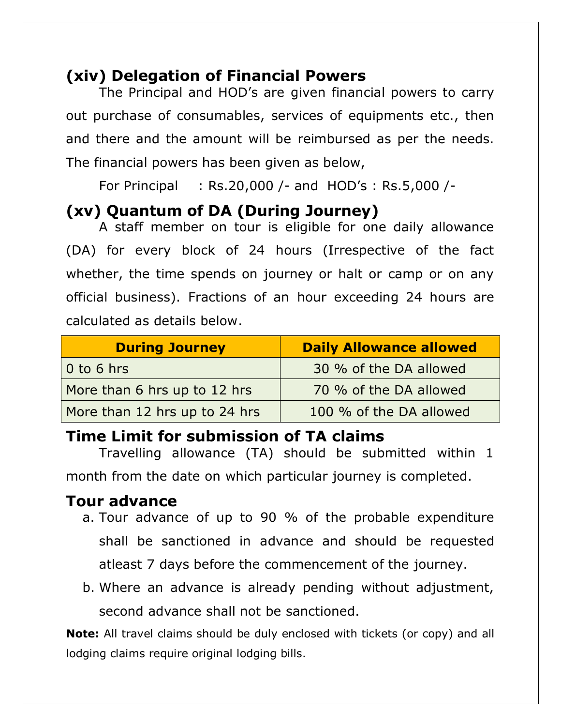### **(xiv) Delegation of Financial Powers**

The Principal and HOD's are given financial powers to carry out purchase of consumables, services of equipments etc., then and there and the amount will be reimbursed as per the needs. The financial powers has been given as below,

For Principal : Rs.20,000 /- and HOD's : Rs.5,000 /-

### **(xv) Quantum of DA (During Journey)**

A staff member on tour is eligible for one daily allowance (DA) for every block of 24 hours (Irrespective of the fact whether, the time spends on journey or halt or camp or on any official business). Fractions of an hour exceeding 24 hours are calculated as details below.

| <b>During Journey</b>         | <b>Daily Allowance allowed</b> |  |
|-------------------------------|--------------------------------|--|
| $0$ to 6 hrs                  | 30 % of the DA allowed         |  |
| More than 6 hrs up to 12 hrs  | 70 % of the DA allowed         |  |
| More than 12 hrs up to 24 hrs | 100 % of the DA allowed        |  |

#### **Time Limit for submission of TA claims**

Travelling allowance (TA) should be submitted within 1 month from the date on which particular journey is completed.

#### **Tour advance**

- a. Tour advance of up to 90 % of the probable expenditure shall be sanctioned in advance and should be requested atleast 7 days before the commencement of the journey.
- b. Where an advance is already pending without adjustment, second advance shall not be sanctioned.

**Note:** All travel claims should be duly enclosed with tickets (or copy) and all lodging claims require original lodging bills.